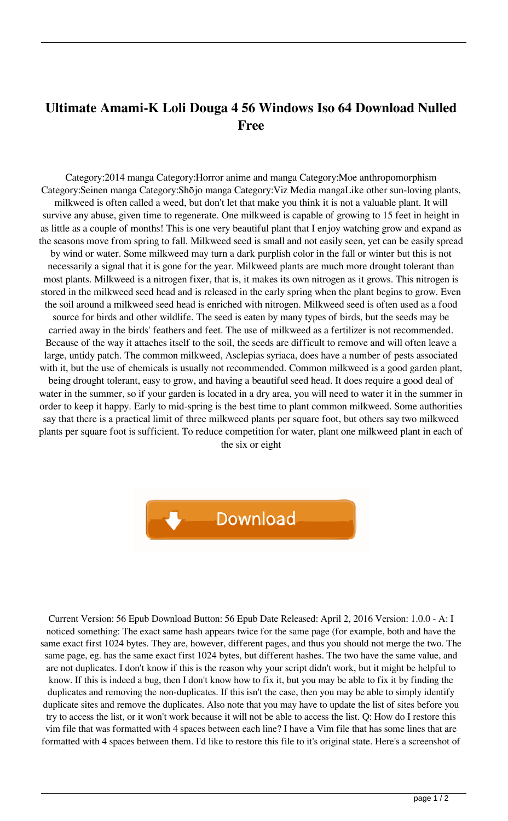## **Ultimate Amami-K Loli Douga 4 56 Windows Iso 64 Download Nulled Free**

Category:2014 manga Category:Horror anime and manga Category:Moe anthropomorphism Category:Seinen manga Category:Shōjo manga Category:Viz Media mangaLike other sun-loving plants, milkweed is often called a weed, but don't let that make you think it is not a valuable plant. It will survive any abuse, given time to regenerate. One milkweed is capable of growing to 15 feet in height in as little as a couple of months! This is one very beautiful plant that I enjoy watching grow and expand as the seasons move from spring to fall. Milkweed seed is small and not easily seen, yet can be easily spread by wind or water. Some milkweed may turn a dark purplish color in the fall or winter but this is not necessarily a signal that it is gone for the year. Milkweed plants are much more drought tolerant than most plants. Milkweed is a nitrogen fixer, that is, it makes its own nitrogen as it grows. This nitrogen is stored in the milkweed seed head and is released in the early spring when the plant begins to grow. Even the soil around a milkweed seed head is enriched with nitrogen. Milkweed seed is often used as a food source for birds and other wildlife. The seed is eaten by many types of birds, but the seeds may be carried away in the birds' feathers and feet. The use of milkweed as a fertilizer is not recommended. Because of the way it attaches itself to the soil, the seeds are difficult to remove and will often leave a large, untidy patch. The common milkweed, Asclepias syriaca, does have a number of pests associated with it, but the use of chemicals is usually not recommended. Common milkweed is a good garden plant, being drought tolerant, easy to grow, and having a beautiful seed head. It does require a good deal of water in the summer, so if your garden is located in a dry area, you will need to water it in the summer in order to keep it happy. Early to mid-spring is the best time to plant common milkweed. Some authorities say that there is a practical limit of three milkweed plants per square foot, but others say two milkweed plants per square foot is sufficient. To reduce competition for water, plant one milkweed plant in each of the six or eight



Current Version: 56 Epub Download Button: 56 Epub Date Released: April 2, 2016 Version: 1.0.0 - A: I noticed something: The exact same hash appears twice for the same page (for example, both and have the same exact first 1024 bytes. They are, however, different pages, and thus you should not merge the two. The same page, eg. has the same exact first 1024 bytes, but different hashes. The two have the same value, and are not duplicates. I don't know if this is the reason why your script didn't work, but it might be helpful to know. If this is indeed a bug, then I don't know how to fix it, but you may be able to fix it by finding the duplicates and removing the non-duplicates. If this isn't the case, then you may be able to simply identify duplicate sites and remove the duplicates. Also note that you may have to update the list of sites before you try to access the list, or it won't work because it will not be able to access the list. Q: How do I restore this vim file that was formatted with 4 spaces between each line? I have a Vim file that has some lines that are formatted with 4 spaces between them. I'd like to restore this file to it's original state. Here's a screenshot of